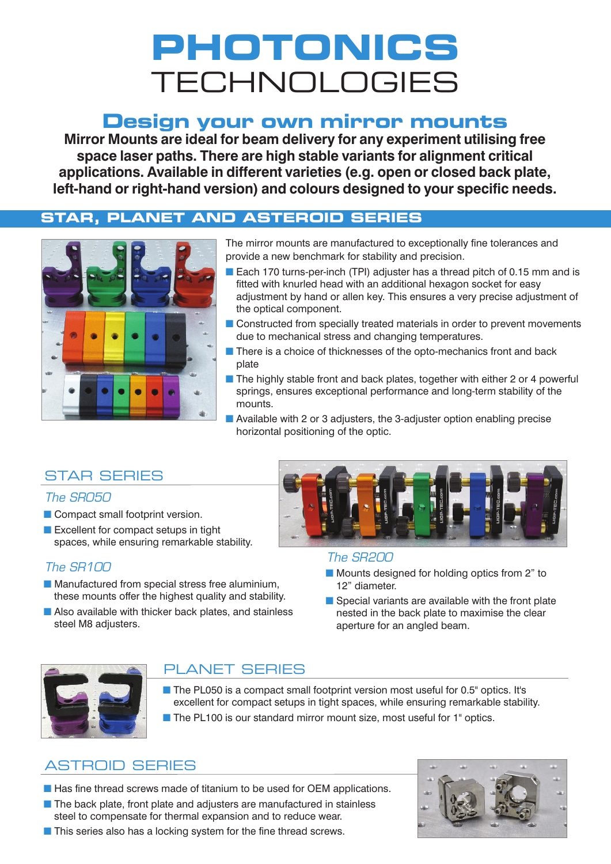# **PHOTONICS TECHNOLOGIES**

## **Design your own mirror mounts**

**Mirror Mounts are ideal for beam delivery for any experiment utilising free space laser paths. There are high stable variants for alignment critical applications. Available in different varieties (e.g. open or closed back plate, left-hand or right-hand version) and colours designed to your specific needs.**

#### **STAR, PLANET AND ASTEROID SERIES**



The mirror mounts are manufactured to exceptionally fine tolerances and provide a new benchmark for stability and precision.

- Each 170 turns-per-inch (TPI) adjuster has a thread pitch of 0.15 mm and is fitted with knurled head with an additional hexagon socket for easy adjustment by hand or allen key. This ensures a very precise adjustment of the optical component.
- Constructed from specially treated materials in order to prevent movements due to mechanical stress and changing temperatures.
- There is a choice of thicknesses of the opto-mechanics front and back plate
- The highly stable front and back plates, together with either 2 or 4 powerful springs, ensures exceptional performance and long-term stability of the mounts.
- Available with 2 or 3 adjusters, the 3-adjuster option enabling precise horizontal positioning of the optic.

### **STAR SERIES**

#### *The SR050*

- Compact small footprint version.
- Excellent for compact setups in tight spaces, while ensuring remarkable stability.

#### *The SR100*

- Manufactured from special stress free aluminium, these mounts offer the highest quality and stability.
- Also available with thicker back plates, and stainless steel M8 adjusters.



#### *The SR200*

- Mounts designed for holding optics from 2" to 12" diameter.
- Special variants are available with the front plate nested in the back plate to maximise the clear aperture for an angled beam.



### **PLANET SERIES**

- The PL050 is a compact small footprint version most useful for 0.5" optics. It's excellent for compact setups in tight spaces, while ensuring remarkable stability.
- The PL100 is our standard mirror mount size, most useful for 1" optics.

## **ASTROID SERIES**

■ Has fine thread screws made of titanium to be used for OEM applications. ■ The back plate, front plate and adjusters are manufactured in stainless steel to compensate for thermal expansion and to reduce wear.